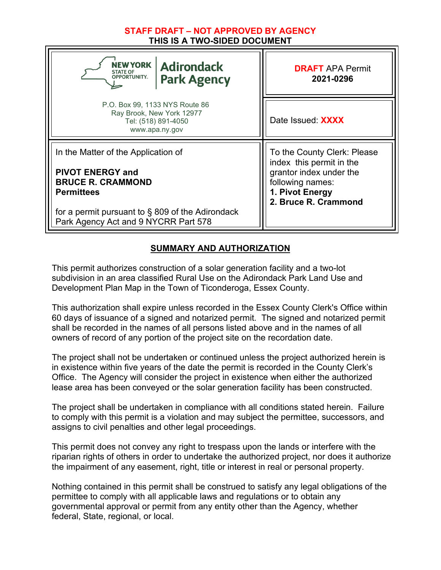### **STAFF DRAFT – NOT APPROVED BY AGENCY THIS IS A TWO-SIDED DOCUMENT**

| NEW YORK  <br><b>Adirondack</b><br><b>STATE OF</b><br><b>OPPORTUNITY.</b><br><b>Park Agency</b>                                                                                                                | <b>DRAFT APA Permit</b><br>2021-0296                                                                                                              |
|----------------------------------------------------------------------------------------------------------------------------------------------------------------------------------------------------------------|---------------------------------------------------------------------------------------------------------------------------------------------------|
| P.O. Box 99, 1133 NYS Route 86<br>Ray Brook, New York 12977<br>Tel: (518) 891-4050<br>www.apa.ny.gov                                                                                                           | Date Issued: XXXX                                                                                                                                 |
| In the Matter of the Application of<br><b>PIVOT ENERGY and</b><br><b>BRUCE R. CRAMMOND</b><br><b>Permittees</b><br>for a permit pursuant to $\S$ 809 of the Adirondack<br>Park Agency Act and 9 NYCRR Part 578 | To the County Clerk: Please<br>index this permit in the<br>grantor index under the<br>following names:<br>1. Pivot Energy<br>2. Bruce R. Crammond |

## **SUMMARY AND AUTHORIZATION**

This permit authorizes construction of a solar generation facility and a two-lot subdivision in an area classified Rural Use on the Adirondack Park Land Use and Development Plan Map in the Town of Ticonderoga, Essex County.

This authorization shall expire unless recorded in the Essex County Clerk's Office within 60 days of issuance of a signed and notarized permit. The signed and notarized permit shall be recorded in the names of all persons listed above and in the names of all owners of record of any portion of the project site on the recordation date.

The project shall not be undertaken or continued unless the project authorized herein is in existence within five years of the date the permit is recorded in the County Clerk's Office. The Agency will consider the project in existence when either the authorized lease area has been conveyed or the solar generation facility has been constructed.

The project shall be undertaken in compliance with all conditions stated herein. Failure to comply with this permit is a violation and may subject the permittee, successors, and assigns to civil penalties and other legal proceedings.

This permit does not convey any right to trespass upon the lands or interfere with the riparian rights of others in order to undertake the authorized project, nor does it authorize the impairment of any easement, right, title or interest in real or personal property.

Nothing contained in this permit shall be construed to satisfy any legal obligations of the permittee to comply with all applicable laws and regulations or to obtain any governmental approval or permit from any entity other than the Agency, whether federal, State, regional, or local.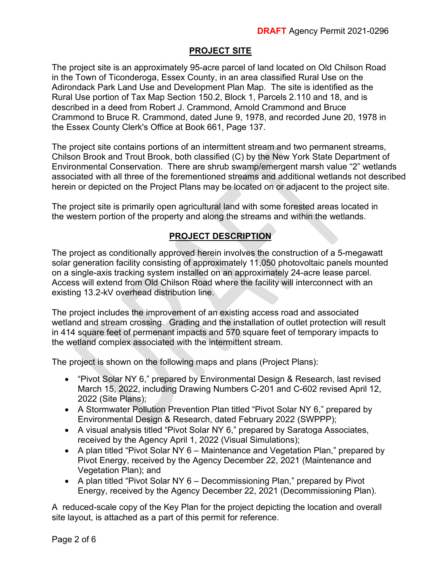# **PROJECT SITE**

The project site is an approximately 95-acre parcel of land located on Old Chilson Road in the Town of Ticonderoga, Essex County, in an area classified Rural Use on the Adirondack Park Land Use and Development Plan Map. The site is identified as the Rural Use portion of Tax Map Section 150.2, Block 1, Parcels 2.110 and 18, and is described in a deed from Robert J. Crammond, Arnold Crammond and Bruce Crammond to Bruce R. Crammond, dated June 9, 1978, and recorded June 20, 1978 in the Essex County Clerk's Office at Book 661, Page 137.

The project site contains portions of an intermittent stream and two permanent streams, Chilson Brook and Trout Brook, both classified (C) by the New York State Department of Environmental Conservation. There are shrub swamp/emergent marsh value "2" wetlands associated with all three of the forementioned streams and additional wetlands not described herein or depicted on the Project Plans may be located on or adjacent to the project site.

The project site is primarily open agricultural land with some forested areas located in the western portion of the property and along the streams and within the wetlands.

## **PROJECT DESCRIPTION**

The project as conditionally approved herein involves the construction of a 5-megawatt solar generation facility consisting of approximately 11,050 photovoltaic panels mounted on a single-axis tracking system installed on an approximately 24-acre lease parcel. Access will extend from Old Chilson Road where the facility will interconnect with an existing 13.2-kV overhead distribution line.

The project includes the improvement of an existing access road and associated wetland and stream crossing. Grading and the installation of outlet protection will result in 414 square feet of permenant impacts and 570 square feet of temporary impacts to the wetland complex associated with the intermittent stream.

The project is shown on the following maps and plans (Project Plans):

- "Pivot Solar NY 6," prepared by Environmental Design & Research, last revised March 15, 2022, including Drawing Numbers C-201 and C-602 revised April 12, 2022 (Site Plans);
- A Stormwater Pollution Prevention Plan titled "Pivot Solar NY 6," prepared by Environmental Design & Research, dated February 2022 (SWPPP);
- A visual analysis titled "Pivot Solar NY 6," prepared by Saratoga Associates, received by the Agency April 1, 2022 (Visual Simulations);
- A plan titled "Pivot Solar NY 6 Maintenance and Vegetation Plan," prepared by Pivot Energy, received by the Agency December 22, 2021 (Maintenance and Vegetation Plan); and
- A plan titled "Pivot Solar NY 6 Decommissioning Plan," prepared by Pivot Energy, received by the Agency December 22, 2021 (Decommissioning Plan).

A reduced-scale copy of the Key Plan for the project depicting the location and overall site layout, is attached as a part of this permit for reference.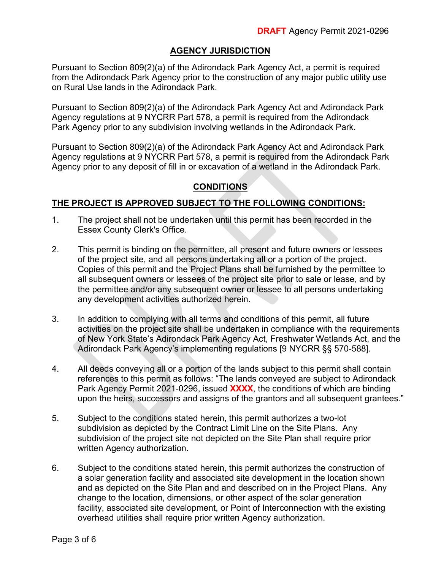### **AGENCY JURISDICTION**

Pursuant to Section 809(2)(a) of the Adirondack Park Agency Act, a permit is required from the Adirondack Park Agency prior to the construction of any major public utility use on Rural Use lands in the Adirondack Park.

Pursuant to Section 809(2)(a) of the Adirondack Park Agency Act and Adirondack Park Agency regulations at 9 NYCRR Part 578, a permit is required from the Adirondack Park Agency prior to any subdivision involving wetlands in the Adirondack Park.

Pursuant to Section 809(2)(a) of the Adirondack Park Agency Act and Adirondack Park Agency regulations at 9 NYCRR Part 578, a permit is required from the Adirondack Park Agency prior to any deposit of fill in or excavation of a wetland in the Adirondack Park.

### **CONDITIONS**

#### **THE PROJECT IS APPROVED SUBJECT TO THE FOLLOWING CONDITIONS:**

- 1. The project shall not be undertaken until this permit has been recorded in the Essex County Clerk's Office.
- 2. This permit is binding on the permittee, all present and future owners or lessees of the project site, and all persons undertaking all or a portion of the project. Copies of this permit and the Project Plans shall be furnished by the permittee to all subsequent owners or lessees of the project site prior to sale or lease, and by the permittee and/or any subsequent owner or lessee to all persons undertaking any development activities authorized herein.
- 3. In addition to complying with all terms and conditions of this permit, all future activities on the project site shall be undertaken in compliance with the requirements of New York State's Adirondack Park Agency Act, Freshwater Wetlands Act, and the Adirondack Park Agency's implementing regulations [9 NYCRR §§ 570-588].
- 4. All deeds conveying all or a portion of the lands subject to this permit shall contain references to this permit as follows: "The lands conveyed are subject to Adirondack Park Agency Permit 2021-0296, issued **XXXX**, the conditions of which are binding upon the heirs, successors and assigns of the grantors and all subsequent grantees."
- 5. Subject to the conditions stated herein, this permit authorizes a two-lot subdivision as depicted by the Contract Limit Line on the Site Plans. Any subdivision of the project site not depicted on the Site Plan shall require prior written Agency authorization.
- 6. Subject to the conditions stated herein, this permit authorizes the construction of a solar generation facility and associated site development in the location shown and as depicted on the Site Plan and and described on in the Project Plans. Any change to the location, dimensions, or other aspect of the solar generation facility, associated site development, or Point of Interconnection with the existing overhead utilities shall require prior written Agency authorization.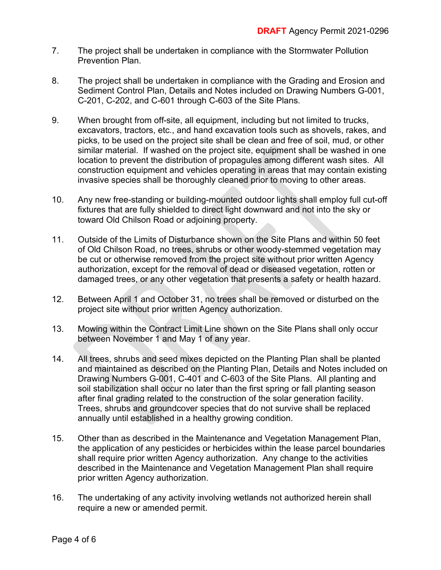- 7. The project shall be undertaken in compliance with the Stormwater Pollution Prevention Plan.
- 8. The project shall be undertaken in compliance with the Grading and Erosion and Sediment Control Plan, Details and Notes included on Drawing Numbers G-001, C-201, C-202, and C-601 through C-603 of the Site Plans.
- 9. When brought from off-site, all equipment, including but not limited to trucks, excavators, tractors, etc., and hand excavation tools such as shovels, rakes, and picks, to be used on the project site shall be clean and free of soil, mud, or other similar material. If washed on the project site, equipment shall be washed in one location to prevent the distribution of propagules among different wash sites. All construction equipment and vehicles operating in areas that may contain existing invasive species shall be thoroughly cleaned prior to moving to other areas.
- 10. Any new free-standing or building-mounted outdoor lights shall employ full cut-off fixtures that are fully shielded to direct light downward and not into the sky or toward Old Chilson Road or adjoining property.
- 11. Outside of the Limits of Disturbance shown on the Site Plans and within 50 feet of Old Chilson Road, no trees, shrubs or other woody-stemmed vegetation may be cut or otherwise removed from the project site without prior written Agency authorization, except for the removal of dead or diseased vegetation, rotten or damaged trees, or any other vegetation that presents a safety or health hazard.
- 12. Between April 1 and October 31, no trees shall be removed or disturbed on the project site without prior written Agency authorization.
- 13. Mowing within the Contract Limit Line shown on the Site Plans shall only occur between November 1 and May 1 of any year.
- 14. All trees, shrubs and seed mixes depicted on the Planting Plan shall be planted and maintained as described on the Planting Plan, Details and Notes included on Drawing Numbers G-001, C-401 and C-603 of the Site Plans. All planting and soil stabilization shall occur no later than the first spring or fall planting season after final grading related to the construction of the solar generation facility. Trees, shrubs and groundcover species that do not survive shall be replaced annually until established in a healthy growing condition.
- 15. Other than as described in the Maintenance and Vegetation Management Plan, the application of any pesticides or herbicides within the lease parcel boundaries shall require prior written Agency authorization. Any change to the activities described in the Maintenance and Vegetation Management Plan shall require prior written Agency authorization.
- 16. The undertaking of any activity involving wetlands not authorized herein shall require a new or amended permit.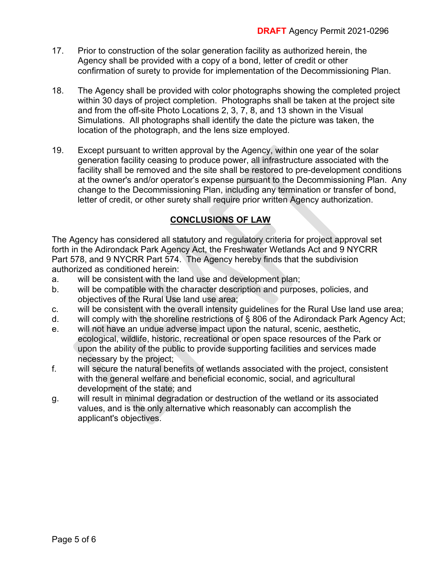- 17. Prior to construction of the solar generation facility as authorized herein, the Agency shall be provided with a copy of a bond, letter of credit or other confirmation of surety to provide for implementation of the Decommissioning Plan.
- 18. The Agency shall be provided with color photographs showing the completed project within 30 days of project completion. Photographs shall be taken at the project site and from the off-site Photo Locations 2, 3, 7, 8, and 13 shown in the Visual Simulations. All photographs shall identify the date the picture was taken, the location of the photograph, and the lens size employed.
- 19. Except pursuant to written approval by the Agency, within one year of the solar generation facility ceasing to produce power, all infrastructure associated with the facility shall be removed and the site shall be restored to pre-development conditions at the owner's and/or operator's expense pursuant to the Decommissioning Plan. Any change to the Decommissioning Plan, including any termination or transfer of bond, letter of credit, or other surety shall require prior written Agency authorization.

# **CONCLUSIONS OF LAW**

The Agency has considered all statutory and regulatory criteria for project approval set forth in the Adirondack Park Agency Act, the Freshwater Wetlands Act and 9 NYCRR Part 578, and 9 NYCRR Part 574. The Agency hereby finds that the subdivision authorized as conditioned herein:

- a. will be consistent with the land use and development plan;
- b. will be compatible with the character description and purposes, policies, and objectives of the Rural Use land use area;
- c. will be consistent with the overall intensity guidelines for the Rural Use land use area;
- d. will comply with the shoreline restrictions of § 806 of the Adirondack Park Agency Act;
- e. will not have an undue adverse impact upon the natural, scenic, aesthetic, ecological, wildlife, historic, recreational or open space resources of the Park or upon the ability of the public to provide supporting facilities and services made necessary by the project;
- f. will secure the natural benefits of wetlands associated with the project, consistent with the general welfare and beneficial economic, social, and agricultural development of the state; and
- g. will result in minimal degradation or destruction of the wetland or its associated values, and is the only alternative which reasonably can accomplish the applicant's objectives.